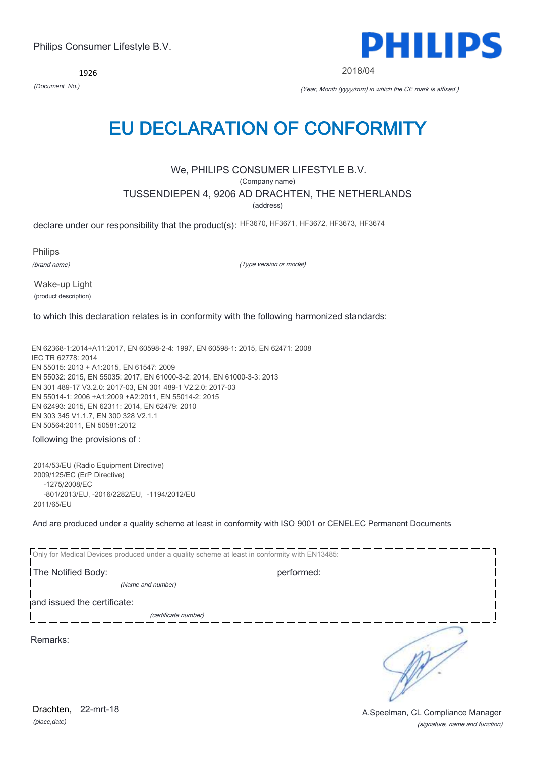*(place,date)* Drachten, 22-mrt-18

(signature, name and function) A.Speelman, CL Compliance Manager

1926

*(Document No.)* (Year, Month (yyyy/mm) in which the CE mark is affixed )

## EU DECLARATION OF CONFORMITY

## We, PHILIPS CONSUMER LIFESTYLE B.V.

(Company name)

## TUSSENDIEPEN 4, 9206 AD DRACHTEN, THE NETHERLANDS

(address)

declare under our responsibility that the product(s): HF3670, HF3671, HF3672, HF3673, HF3674

Philips

(brand name)

(Type version or model)

Wake-up Light (product description)

to which this declaration relates is in conformity with the following harmonized standards:

EN 62368-1:2014+A11:2017, EN 60598-2-4: 1997, EN 60598-1: 2015, EN 62471: 2008 IEC TR 62778: 2014 EN 55015: 2013 + A1:2015, EN 61547: 2009 EN 55032: 2015, EN 55035: 2017, EN 61000-3-2: 2014, EN 61000-3-3: 2013 EN 301 489-17 V3.2.0: 2017-03, EN 301 489-1 V2.2.0: 2017-03 EN 55014-1: 2006 +A1:2009 +A2:2011, EN 55014-2: 2015 EN 62493: 2015, EN 62311: 2014, EN 62479: 2010 EN 303 345 V1.1.7, EN 300 328 V2.1.1 EN 50564:2011, EN 50581:2012

### following the provisions of :

2014/53/EU (Radio Equipment Directive) 2009/125/EC (ErP Directive) -1275/2008/EC -801/2013/EU, -2016/2282/EU, -1194/2012/EU 2011/65/EU

And are produced under a quality scheme at least in conformity with ISO 9001 or CENELEC Permanent Documents

|                             | Only for Medical Devices produced under a quality scheme at least in conformity with EN13485: |  |
|-----------------------------|-----------------------------------------------------------------------------------------------|--|
| The Notified Body:          | performed:                                                                                    |  |
| (Name and number)           |                                                                                               |  |
| and issued the certificate: |                                                                                               |  |
|                             | (certificate number)                                                                          |  |
| Remarks:                    |                                                                                               |  |

PHILIPS

2018/04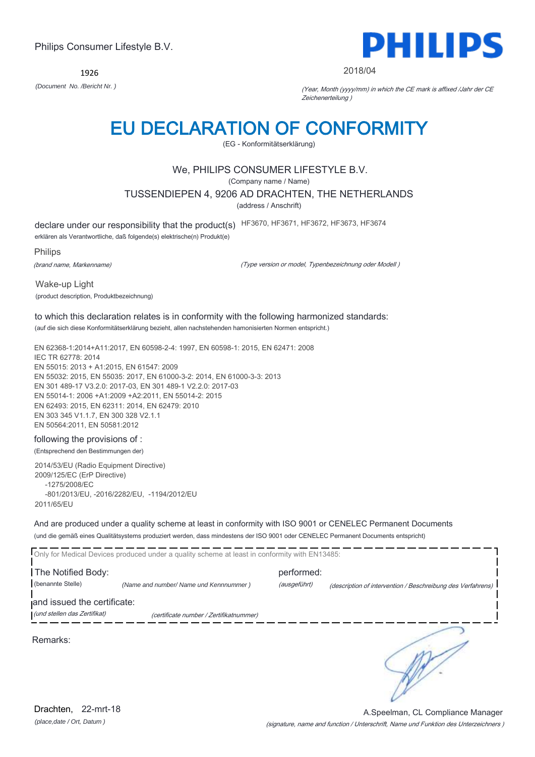1926



#### 2018/04

*(Document No. /Bericht Nr. )* (Year, Month (yyyy/mm) in which the CE mark is affixed /Jahr der CE Zeichenerteilung )

## EU DECLARATION OF CONFORMITY

(EG - Konformitätserklärung)

### We, PHILIPS CONSUMER LIFESTYLE B.V.

(Company name / Name)

TUSSENDIEPEN 4, 9206 AD DRACHTEN, THE NETHERLANDS

(address / Anschrift)

declare under our responsibility that the product(s) HF3670, HF3671, HF3672, HF3673, HF3674

erklären als Verantwortliche, daß folgende(s) elektrische(n) Produkt(e)

Philips

(brand name, Markenname)

(Type version or model, Typenbezeichnung oder Modell )

Wake-up Light (product description, Produktbezeichnung)

### to which this declaration relates is in conformity with the following harmonized standards:

(auf die sich diese Konformitätserklärung bezieht, allen nachstehenden hamonisierten Normen entspricht.)

EN 62368-1:2014+A11:2017, EN 60598-2-4: 1997, EN 60598-1: 2015, EN 62471: 2008 IEC TR 62778: 2014 EN 55015: 2013 + A1:2015, EN 61547: 2009 EN 55032: 2015, EN 55035: 2017, EN 61000-3-2: 2014, EN 61000-3-3: 2013 EN 301 489-17 V3.2.0: 2017-03, EN 301 489-1 V2.2.0: 2017-03 EN 55014-1: 2006 +A1:2009 +A2:2011, EN 55014-2: 2015 EN 62493: 2015, EN 62311: 2014, EN 62479: 2010 EN 303 345 V1.1.7, EN 300 328 V2.1.1 EN 50564:2011, EN 50581:2012

#### following the provisions of :

(Entsprechend den Bestimmungen der)

2014/53/EU (Radio Equipment Directive) 2009/125/EC (ErP Directive) -1275/2008/EC -801/2013/EU, -2016/2282/EU, -1194/2012/EU 2011/65/EU

And are produced under a quality scheme at least in conformity with ISO 9001 or CENELEC Permanent Documents (und die gemäß eines Qualitätsystems produziert werden, dass mindestens der ISO 9001 oder CENELEC Permanent Documents entspricht)

|                                         | Only for Medical Devices produced under a quality scheme at least in conformity with EN13485: |                            |                                                             |
|-----------------------------------------|-----------------------------------------------------------------------------------------------|----------------------------|-------------------------------------------------------------|
| The Notified Body:<br>(benannte Stelle) | (Name and number/ Name und Kennnummer)                                                        | performed:<br>(ausgeführt) | (description of intervention / Beschreibung des Verfahrens) |
| and issued the certificate:             |                                                                                               |                            |                                                             |
| (und stellen das Zertifikat)            | (certificate number / Zertifikatnummer)                                                       |                            |                                                             |
| Remarks:                                |                                                                                               |                            |                                                             |

*(place,date / Ort, Datum )* Drachten, 22-mrt-18

(signature, name and function / Unterschrift, Name und Funktion des Unterzeichners ) A.Speelman, CL Compliance Manager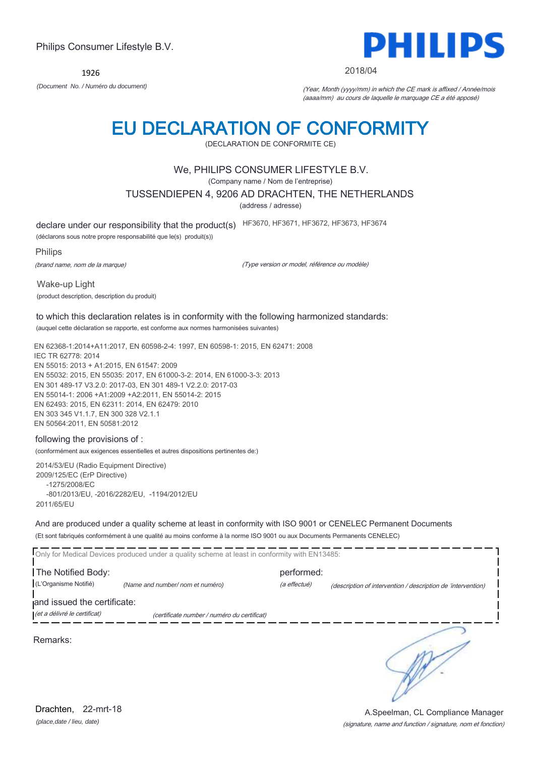EN 62493: 2015, EN 62311: 2014, EN 62479: 2010 EN 303 345 V1.1.7, EN 300 328 V2.1.1 EN 50564:2011, EN 50581:2012

(conformément aux exigences essentielles et autres dispositions pertinentes de:)

2014/53/EU (Radio Equipment Directive) -1275/2008/EC

And are produced under a quality scheme at least in conformity with ISO 9001 or CENELEC Permanent Documents (Et sont fabriqués conformément à une qualité au moins conforme à la norme ISO 9001 ou aux Documents Permanents CENELEC)

|                                                             | Only for Medical Devices produced under a quality scheme at least in conformity with EN13485: |                            |                                                              |
|-------------------------------------------------------------|-----------------------------------------------------------------------------------------------|----------------------------|--------------------------------------------------------------|
| The Notified Body:<br>(L'Organisme Notifié)                 | (Name and number/ nom et numéro)                                                              | performed:<br>(a effectué) | (description of intervention / description de 'intervention) |
| and issued the certificate:<br>(et a délivré le certificat) | (certificate number / numéro du certificat)                                                   |                            |                                                              |
| Remarks:                                                    |                                                                                               |                            |                                                              |

#### *(Document No. / Numéro du document)* (Year, Month (yyyy/mm) in which the CE mark is affixed / Année/mois (aaaa/mm) au cours de laquelle le marquage CE a été apposé)

# EU DECLARATION OF CONFORMITY

(DECLARATION DE CONFORMITE CE)

## We, PHILIPS CONSUMER LIFESTYLE B.V.

(Company name / Nom de l'entreprise)

## TUSSENDIEPEN 4, 9206 AD DRACHTEN, THE NETHERLANDS

(address / adresse)

declare under our responsibility that the product(s) HF3670, HF3671, HF3672, HF3673, HF3674

(déclarons sous notre propre responsabilité que le(s) produit(s))

Philips

(brand name, nom de la marque)

Wake-up Light

(Type version or model, référence ou modèle)

(product description, description du produit) to which this declaration relates is in conformity with the following harmonized standards:

(auquel cette déclaration se rapporte, est conforme aux normes harmonisées suivantes)

EN 62368-1:2014+A11:2017, EN 60598-2-4: 1997, EN 60598-1: 2015, EN 62471: 2008 IEC TR 62778: 2014 EN 55015: 2013 + A1:2015, EN 61547: 2009 EN 55032: 2015, EN 55035: 2017, EN 61000-3-2: 2014, EN 61000-3-3: 2013 EN 301 489-17 V3.2.0: 2017-03, EN 301 489-1 V2.2.0: 2017-03 EN 55014-1: 2006 +A1:2009 +A2:2011, EN 55014-2: 2015

### following the provisions of :

2009/125/EC (ErP Directive) -801/2013/EU, -2016/2282/EU, -1194/2012/EU 2011/65/EU

Philips Consumer Lifestyle B.V.

1926

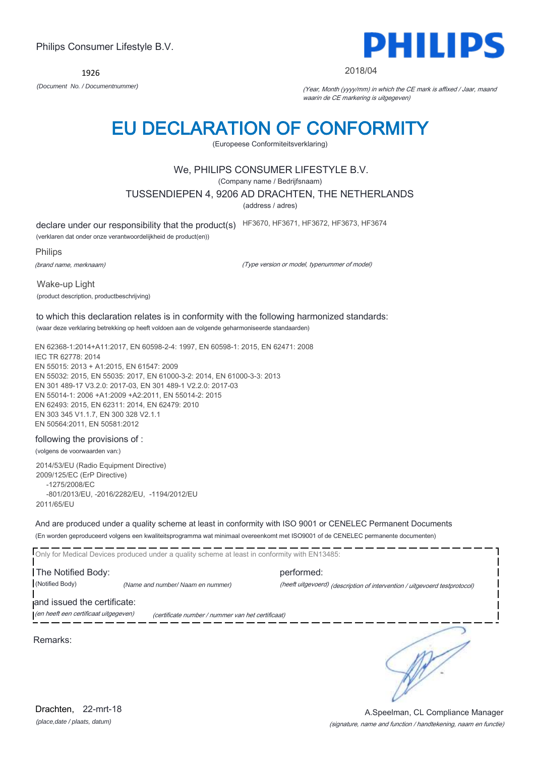1926



#### 2018/04

*(Document No. / Documentnummer)* (Year, Month (yyyy/mm) in which the CE mark is affixed / Jaar, maand waarin de CE markering is uitgegeven)

## EU DECLARATION OF CONFORMITY

(Europeese Conformiteitsverklaring)

### We, PHILIPS CONSUMER LIFESTYLE B.V.

(Company name / Bedrijfsnaam)

TUSSENDIEPEN 4, 9206 AD DRACHTEN, THE NETHERLANDS

(address / adres)

declare under our responsibility that the product(s) HF3670, HF3671, HF3672, HF3673, HF3674

(verklaren dat onder onze verantwoordelijkheid de product(en))

**Philips** 

(brand name, merknaam)

(Type version or model, typenummer of model)

Wake-up Light (product description, productbeschrijving)

#### to which this declaration relates is in conformity with the following harmonized standards: (waar deze verklaring betrekking op heeft voldoen aan de volgende geharmoniseerde standaarden)

EN 62368-1:2014+A11:2017, EN 60598-2-4: 1997, EN 60598-1: 2015, EN 62471: 2008 IEC TR 62778: 2014 EN 55015: 2013 + A1:2015, EN 61547: 2009 EN 55032: 2015, EN 55035: 2017, EN 61000-3-2: 2014, EN 61000-3-3: 2013 EN 301 489-17 V3.2.0: 2017-03, EN 301 489-1 V2.2.0: 2017-03 EN 55014-1: 2006 +A1:2009 +A2:2011, EN 55014-2: 2015 EN 62493: 2015, EN 62311: 2014, EN 62479: 2010 EN 303 345 V1.1.7, EN 300 328 V2.1.1 EN 50564:2011, EN 50581:2012

#### following the provisions of :

(volgens de voorwaarden van:)

2014/53/EU (Radio Equipment Directive) 2009/125/EC (ErP Directive) -1275/2008/EC -801/2013/EU, -2016/2282/EU, -1194/2012/EU 2011/65/EU

And are produced under a quality scheme at least in conformity with ISO 9001 or CENELEC Permanent Documents (En worden geproduceerd volgens een kwaliteitsprogramma wat minimaal overeenkomt met ISO9001 of de CENELEC permanente documenten)

Only for Medical Devices produced under a quality scheme at least in conformity with EN13485: The Notified Body: performed: (Notified Body) *(Name and number/ Naam en nummer)* (heeft uitgevoerd) (description of intervention / uitgevoerd testprotocol) and issued the certificate: (en heeft een certificaat uitgegeven) (certificate number / nummer van het certificaat) ∍ Remarks:

*(place,date / plaats, datum)* Drachten. 22-mrt-18

#### (signature, name and function / handtekening, naam en functie) A.Speelman, CL Compliance Manager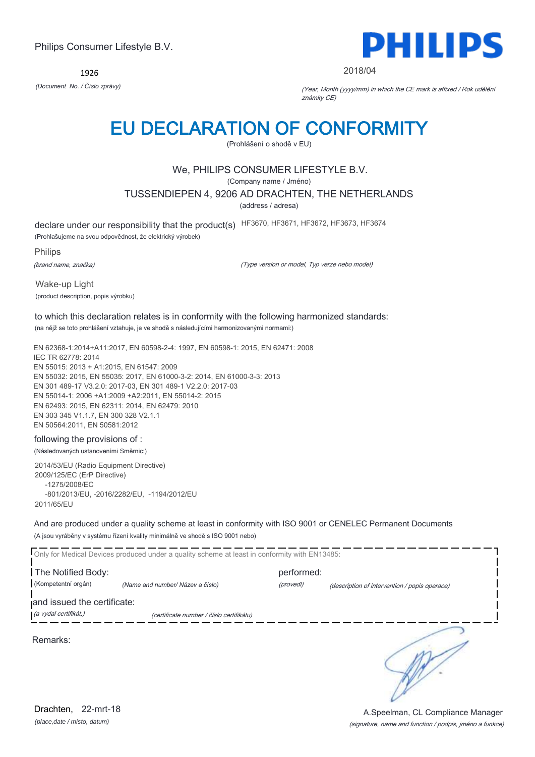1926



#### 2018/04

*(Document No. / Číslo zprávy)* (Year, Month (yyyy/mm) in which the CE mark is affixed / Rok udělění známky CE)

## EU DECLARATION OF CONFORMITY

(Prohlášení o shodě v EU)

## We, PHILIPS CONSUMER LIFESTYLE B.V.

(Company name / Jméno)

TUSSENDIEPEN 4, 9206 AD DRACHTEN, THE NETHERLANDS

(address / adresa)

declare under our responsibility that the product(s) HF3670, HF3671, HF3672, HF3673, HF3674

(Prohlašujeme na svou odpovědnost, že elektrický výrobek)

Philips

(brand name, značka)

(Type version or model, Typ verze nebo model)

Wake-up Light (product description, popis výrobku)

## to which this declaration relates is in conformity with the following harmonized standards:

(na nějž se toto prohlášení vztahuje, je ve shodě s následujícími harmonizovanými normami:)

EN 62368-1:2014+A11:2017, EN 60598-2-4: 1997, EN 60598-1: 2015, EN 62471: 2008 IEC TR 62778: 2014 EN 55015: 2013 + A1:2015, EN 61547: 2009 EN 55032: 2015, EN 55035: 2017, EN 61000-3-2: 2014, EN 61000-3-3: 2013 EN 301 489-17 V3.2.0: 2017-03, EN 301 489-1 V2.2.0: 2017-03 EN 55014-1: 2006 +A1:2009 +A2:2011, EN 55014-2: 2015 EN 62493: 2015, EN 62311: 2014, EN 62479: 2010 EN 303 345 V1.1.7, EN 300 328 V2.1.1 EN 50564:2011, EN 50581:2012

#### following the provisions of :

(Následovaných ustanoveními Směrnic:)

2014/53/EU (Radio Equipment Directive) 2009/125/EC (ErP Directive) -1275/2008/EC -801/2013/EU, -2016/2282/EU, -1194/2012/EU 2011/65/EU

And are produced under a quality scheme at least in conformity with ISO 9001 or CENELEC Permanent Documents (A jsou vyráběny v systému řízení kvality minimálně ve shodě s ISO 9001 nebo)

|                                                      | Only for Medical Devices produced under a quality scheme at least in conformity with EN13485: |                         |                                               |
|------------------------------------------------------|-----------------------------------------------------------------------------------------------|-------------------------|-----------------------------------------------|
| The Notified Body:<br>(Kompetentní orgán)            | (Name and number/ Název a číslo)                                                              | performed:<br>(provedl) | (description of intervention / popis operace) |
| and issued the certificate:<br>(a vydal certifikát,) | (certificate number / číslo certifikátu)                                                      |                         |                                               |
| Remarks:                                             |                                                                                               |                         |                                               |

*(place,date / místo, datum)* Drachten, 22-mrt-18

#### (signature, name and function / podpis, jméno a funkce) A.Speelman, CL Compliance Manager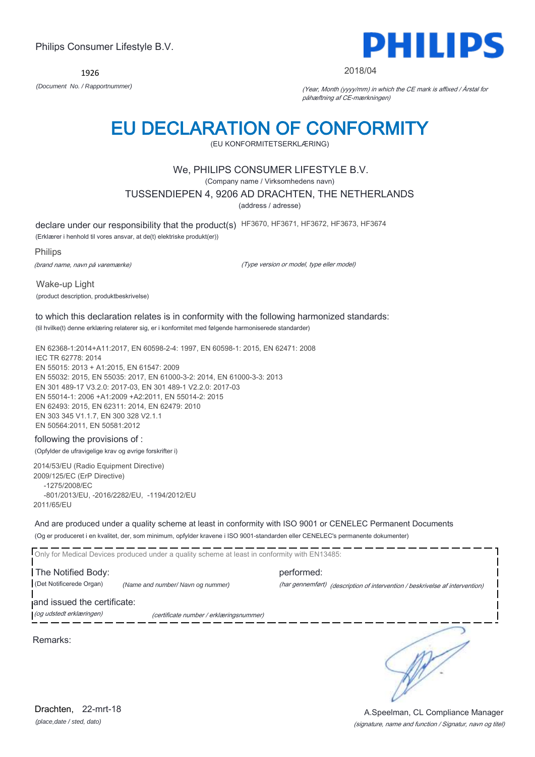1926



#### 2018/04

*(Document No. / Rapportnummer)* (Year, Month (yyyy/mm) in which the CE mark is affixed / Årstal for påhæftning af CE-mærkningen)

## EU DECLARATION OF CONFORMITY

(EU KONFORMITETSERKLÆRING)

### We, PHILIPS CONSUMER LIFESTYLE B.V.

(Company name / Virksomhedens navn)

TUSSENDIEPEN 4, 9206 AD DRACHTEN, THE NETHERLANDS

(address / adresse)

declare under our responsibility that the product(s) HF3670, HF3671, HF3672, HF3673, HF3674

(Erklærer i henhold til vores ansvar, at de(t) elektriske produkt(er))

Philips

(brand name, navn på varemærke)

(Type version or model, type eller model)

Wake-up Light (product description, produktbeskrivelse)

## to which this declaration relates is in conformity with the following harmonized standards:

(til hvilke(t) denne erklæring relaterer sig, er i konformitet med følgende harmoniserede standarder)

EN 62368-1:2014+A11:2017, EN 60598-2-4: 1997, EN 60598-1: 2015, EN 62471: 2008 IEC TR 62778: 2014 EN 55015: 2013 + A1:2015, EN 61547: 2009 EN 55032: 2015, EN 55035: 2017, EN 61000-3-2: 2014, EN 61000-3-3: 2013 EN 301 489-17 V3.2.0: 2017-03, EN 301 489-1 V2.2.0: 2017-03 EN 55014-1: 2006 +A1:2009 +A2:2011, EN 55014-2: 2015 EN 62493: 2015, EN 62311: 2014, EN 62479: 2010 EN 303 345 V1.1.7, EN 300 328 V2.1.1 EN 50564:2011, EN 50581:2012

### following the provisions of :

(Opfylder de ufravigelige krav og øvrige forskrifter i)

2014/53/EU (Radio Equipment Directive) 2009/125/EC (ErP Directive) -1275/2008/EC -801/2013/EU, -2016/2282/EU, -1194/2012/EU 2011/65/EU

And are produced under a quality scheme at least in conformity with ISO 9001 or CENELEC Permanent Documents (Og er produceret i en kvalitet, der, som minimum, opfylder kravene i ISO 9001-standarden eller CENELEC's permanente dokumenter)

Only for Medical Devices produced under a quality scheme at least in conformity with EN13485: The Notified Body: example and the performed: (Det Notificerede Organ) *(Name and number/ Navn og nummer)* (har gennemført) (description of intervention / beskrivelse af intervention) and issued the certificate: (og udstedt erklæringen) (certificate number / erklæringsnummer)

Remarks:

∍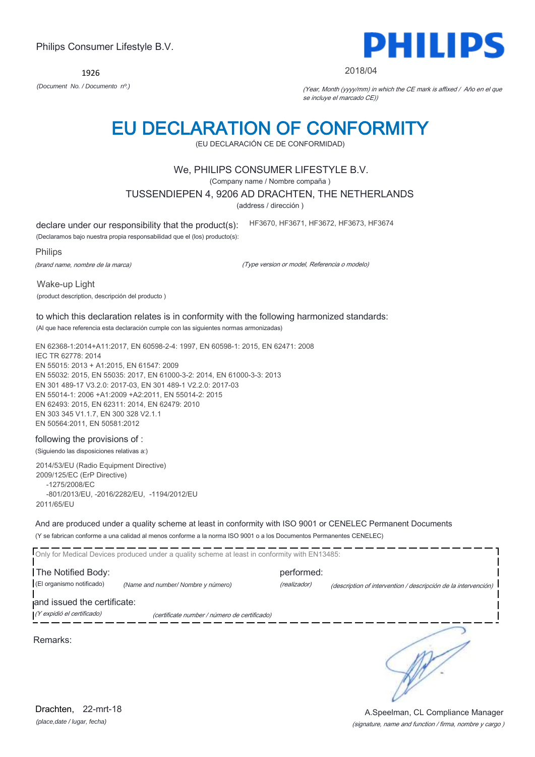1926

## EU DECLARATION OF CONFORMITY

(EU DECLARACIÓN CE DE CONFORMIDAD)

## We, PHILIPS CONSUMER LIFESTYLE B.V.

(Company name / Nombre compaña )

#### TUSSENDIEPEN 4, 9206 AD DRACHTEN, THE NETHERLANDS

(address / dirección )

declare under our responsibility that the product(s):

(Declaramos bajo nuestra propia responsabilidad que el (los) producto(s):

Philips

(brand name, nombre de la marca)

(Type version or model, Referencia o modelo)

HF3670, HF3671, HF3672, HF3673, HF3674

Wake-up Light

(product description, descripción del producto )

### to which this declaration relates is in conformity with the following harmonized standards:

(Al que hace referencia esta declaración cumple con las siguientes normas armonizadas)

EN 62368-1:2014+A11:2017, EN 60598-2-4: 1997, EN 60598-1: 2015, EN 62471: 2008 IEC TR 62778: 2014 EN 55015: 2013 + A1:2015, EN 61547: 2009 EN 55032: 2015, EN 55035: 2017, EN 61000-3-2: 2014, EN 61000-3-3: 2013 EN 301 489-17 V3.2.0: 2017-03, EN 301 489-1 V2.2.0: 2017-03 EN 55014-1: 2006 +A1:2009 +A2:2011, EN 55014-2: 2015 EN 62493: 2015, EN 62311: 2014, EN 62479: 2010 EN 303 345 V1.1.7, EN 300 328 V2.1.1 EN 50564:2011, EN 50581:2012

#### following the provisions of :

(Siguiendo las disposiciones relativas a:)

2014/53/EU (Radio Equipment Directive) 2009/125/EC (ErP Directive) -1275/2008/EC -801/2013/EU, -2016/2282/EU, -1194/2012/EU 2011/65/EU

And are produced under a quality scheme at least in conformity with ISO 9001 or CENELEC Permanent Documents (Y se fabrican conforme a una calidad al menos conforme a la norma ISO 9001 o a los Documentos Permanentes CENELEC)

|                                                           | Only for Medical Devices produced under a quality scheme at least in conformity with EN13485: |                            |                                                                |
|-----------------------------------------------------------|-----------------------------------------------------------------------------------------------|----------------------------|----------------------------------------------------------------|
| The Notified Body:<br>(El organismo notificado)           | (Name and number/Nombre y número)                                                             | performed:<br>(realizador) | (description of intervention / descripción de la intervención) |
| and issued the certificate:<br>(Y expidió el certificado) | (certificate number / número de certificado)                                                  |                            |                                                                |
| Remarks:                                                  |                                                                                               |                            |                                                                |

(signature, name and function / firma, nombre y cargo ) A.Speelman, CL Compliance Manager

#### 2018/04

*(Document No. / Documento nº.)* (Year, Month (yyyy/mm) in which the CE mark is affixed / Año en el que se incluye el marcado CE))

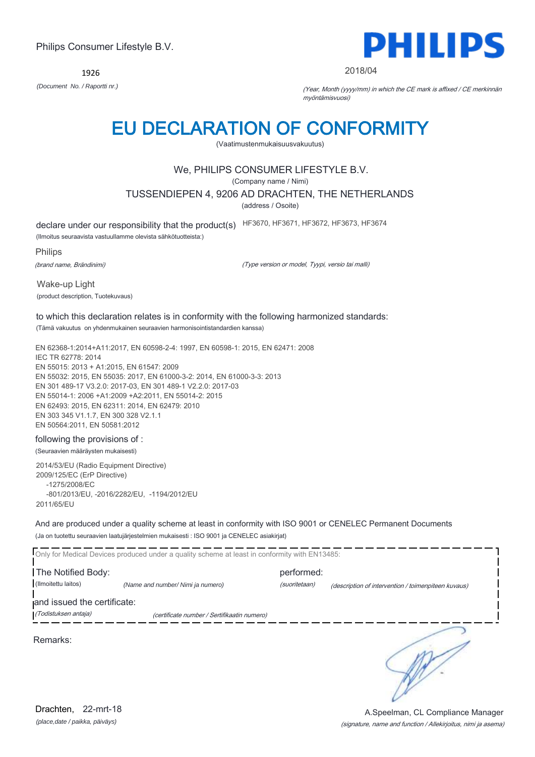1926



#### 2018/04

*(Document No. / Raportti nr.)* (Year, Month (yyyy/mm) in which the CE mark is affixed / CE merkinnän myöntämisvuosi)

## EU DECLARATION OF CONFORMITY

(Vaatimustenmukaisuusvakuutus)

## We, PHILIPS CONSUMER LIFESTYLE B.V.

(Company name / Nimi)

TUSSENDIEPEN 4, 9206 AD DRACHTEN, THE NETHERLANDS

(address / Osoite)

declare under our responsibility that the product(s) HF3670, HF3671, HF3672, HF3673, HF3674

(Ilmoitus seuraavista vastuullamme olevista sähkötuotteista:)

**Philips** 

(brand name, Brändinimi)

(Type version or model, Tyypi, versio tai malli)

Wake-up Light (product description, Tuotekuvaus)

## to which this declaration relates is in conformity with the following harmonized standards:

(Tämä vakuutus on yhdenmukainen seuraavien harmonisointistandardien kanssa)

EN 62368-1:2014+A11:2017, EN 60598-2-4: 1997, EN 60598-1: 2015, EN 62471: 2008 IEC TR 62778: 2014 EN 55015: 2013 + A1:2015, EN 61547: 2009 EN 55032: 2015, EN 55035: 2017, EN 61000-3-2: 2014, EN 61000-3-3: 2013 EN 301 489-17 V3.2.0: 2017-03, EN 301 489-1 V2.2.0: 2017-03 EN 55014-1: 2006 +A1:2009 +A2:2011, EN 55014-2: 2015 EN 62493: 2015, EN 62311: 2014, EN 62479: 2010 EN 303 345 V1.1.7, EN 300 328 V2.1.1 EN 50564:2011, EN 50581:2012

### following the provisions of :

(Seuraavien määräysten mukaisesti)

2014/53/EU (Radio Equipment Directive) 2009/125/EC (ErP Directive) -1275/2008/EC -801/2013/EU, -2016/2282/EU, -1194/2012/EU 2011/65/EU

And are produced under a quality scheme at least in conformity with ISO 9001 or CENELEC Permanent Documents (Ja on tuotettu seuraavien laatujärjestelmien mukaisesti : ISO 9001 ja CENELEC asiakirjat)

|                                           | Only for Medical Devices produced under a quality scheme at least in conformity with EN13485: |                             |                                                     |
|-------------------------------------------|-----------------------------------------------------------------------------------------------|-----------------------------|-----------------------------------------------------|
| The Notified Body:<br>(Ilmoitettu laitos) | (Name and number/ Nimi ja numero)                                                             | performed:<br>(suoritetaan) | (description of intervention / toimenpiteen kuvaus) |
| and issued the certificate:               |                                                                                               |                             |                                                     |
| (Todistuksen antaja)                      | (certificate number / Sertifikaatin numero)                                                   |                             |                                                     |
| Remarks:                                  |                                                                                               |                             |                                                     |

*(place,date / paikka, päiväys)* Drachten, 22-mrt-18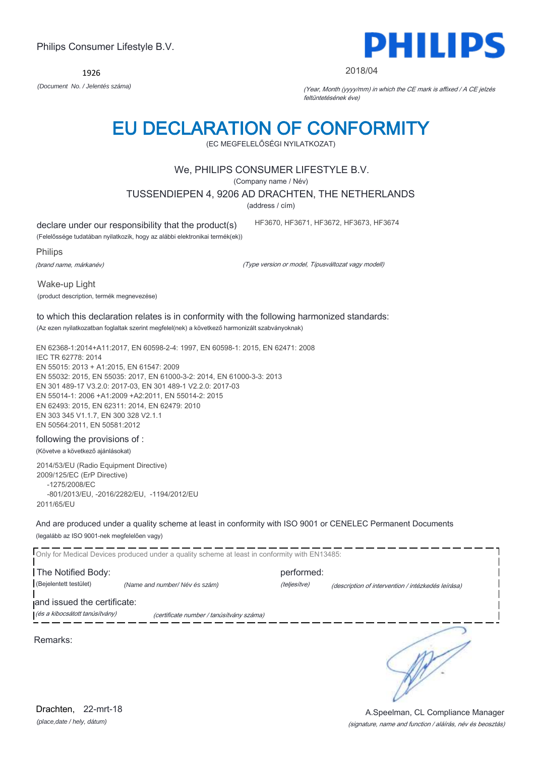1926 *(Document No. / Jelentés száma)* (Year, Month (yyyy/mm) in which the CE mark is affixed / A CE jelzés

## EU DECLARATION OF CONFORMITY

(EC MEGFELELŐSÉGI NYILATKOZAT)

## We, PHILIPS CONSUMER LIFESTYLE B.V.

(Company name / Név)

TUSSENDIEPEN 4, 9206 AD DRACHTEN, THE NETHERLANDS

(address / cím)

declare under our responsibility that the product(s)

(Felelőssége tudatában nyilatkozik, hogy az alábbi elektronikai termék(ek))

Philips

(brand name, márkanév)

(Type version or model, Típusváltozat vagy modell)

HF3670, HF3671, HF3672, HF3673, HF3674

Wake-up Light (product description, termék megnevezése)

## to which this declaration relates is in conformity with the following harmonized standards:

(Az ezen nyilatkozatban foglaltak szerint megfelel(nek) a következő harmonizált szabványoknak)

EN 62368-1:2014+A11:2017, EN 60598-2-4: 1997, EN 60598-1: 2015, EN 62471: 2008 IEC TR 62778: 2014 EN 55015: 2013 + A1:2015, EN 61547: 2009 EN 55032: 2015, EN 55035: 2017, EN 61000-3-2: 2014, EN 61000-3-3: 2013 EN 301 489-17 V3.2.0: 2017-03, EN 301 489-1 V2.2.0: 2017-03 EN 55014-1: 2006 +A1:2009 +A2:2011, EN 55014-2: 2015 EN 62493: 2015, EN 62311: 2014, EN 62479: 2010 EN 303 345 V1.1.7, EN 300 328 V2.1.1 EN 50564:2011, EN 50581:2012

#### following the provisions of :

(Követve a következő ajánlásokat)

2014/53/EU (Radio Equipment Directive) 2009/125/EC (ErP Directive) -1275/2008/EC -801/2013/EU, -2016/2282/EU, -1194/2012/EU 2011/65/EU

And are produced under a quality scheme at least in conformity with ISO 9001 or CENELEC Permanent Documents (legalább az ISO 9001-nek megfelelően vagy)

|                                | Only for Medical Devices produced under a quality scheme at least in conformity with EN13485: |              |                                                    |
|--------------------------------|-----------------------------------------------------------------------------------------------|--------------|----------------------------------------------------|
| The Notified Body:             |                                                                                               | performed:   |                                                    |
| (Bejelentett testület)         | (Name and number/Név és szám)                                                                 | (teljesítve) | (description of intervention / intézkedés leírása) |
| and issued the certificate:    |                                                                                               |              |                                                    |
| (és a kibocsátott tanúsítvány) | (certificate number / tanúsítvány száma)                                                      |              |                                                    |
| Remarks:                       |                                                                                               |              |                                                    |

(signature, name and function / aláírás, név és beosztás) A.Speelman, CL Compliance Manager

2018/04

feltüntetésének éve)

PHILIPS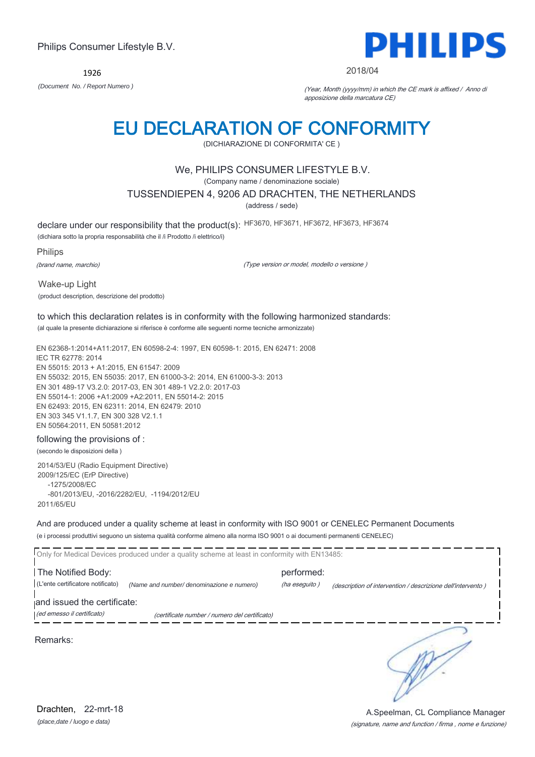1926



#### 2018/04

*(Document No. / Report Numero )* (Year, Month (yyyy/mm) in which the CE mark is affixed / Anno di apposizione della marcatura CE)

## EU DECLARATION OF CONFORMITY

(DICHIARAZIONE DI CONFORMITA' CE )

### We, PHILIPS CONSUMER LIFESTYLE B.V.

(Company name / denominazione sociale)

TUSSENDIEPEN 4, 9206 AD DRACHTEN, THE NETHERLANDS

(address / sede)

declare under our responsibility that the product(s): HF3670, HF3671, HF3672, HF3673, HF3674

(dichiara sotto la propria responsabilità che il /i Prodotto /i elettrico/i)

Philips

(brand name, marchio)

(Type version or model, modello o versione )

Wake-up Light (product description, descrizione del prodotto)

### to which this declaration relates is in conformity with the following harmonized standards:

(al quale la presente dichiarazione si riferisce è conforme alle seguenti norme tecniche armonizzate)

EN 62368-1:2014+A11:2017, EN 60598-2-4: 1997, EN 60598-1: 2015, EN 62471: 2008 IEC TR 62778: 2014 EN 55015: 2013 + A1:2015, EN 61547: 2009 EN 55032: 2015, EN 55035: 2017, EN 61000-3-2: 2014, EN 61000-3-3: 2013 EN 301 489-17 V3.2.0: 2017-03, EN 301 489-1 V2.2.0: 2017-03 EN 55014-1: 2006 +A1:2009 +A2:2011, EN 55014-2: 2015 EN 62493: 2015, EN 62311: 2014, EN 62479: 2010 EN 303 345 V1.1.7, EN 300 328 V2.1.1 EN 50564:2011, EN 50581:2012

#### following the provisions of :

(secondo le disposizioni della )

2014/53/EU (Radio Equipment Directive) 2009/125/EC (ErP Directive) -1275/2008/EC -801/2013/EU, -2016/2282/EU, -1194/2012/EU 2011/65/EU

And are produced under a quality scheme at least in conformity with ISO 9001 or CENELEC Permanent Documents (e i processi produttivi seguono un sistema qualità conforme almeno alla norma ISO 9001 o ai documenti permanenti CENELEC)



*(place,date / luogo e data)* Drachten, 22-mrt-18

(signature, name and function / firma , nome e funzione) A.Speelman, CL Compliance Manager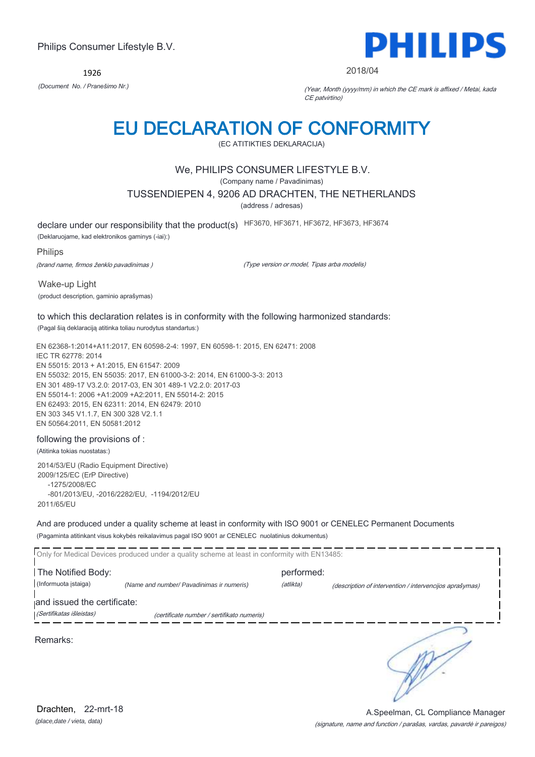1926



#### 2018/04

*(Document No. / Pranešimo Nr.)* (Year, Month (yyyy/mm) in which the CE mark is affixed / Metai, kada CE patvirtino)

## EU DECLARATION OF CONFORMITY

(EC ATITIKTIES DEKLARACIJA)

### We, PHILIPS CONSUMER LIFESTYLE B.V.

(Company name / Pavadinimas)

TUSSENDIEPEN 4, 9206 AD DRACHTEN, THE NETHERLANDS

(address / adresas)

declare under our responsibility that the product(s) HF3670, HF3671, HF3672, HF3673, HF3674

(Deklaruojame, kad elektronikos gaminys (-iai):)

Philips

(brand name, firmos ženklo pavadinimas )

(Type version or model, Tipas arba modelis)

Wake-up Light

(product description, gaminio aprašymas)

#### to which this declaration relates is in conformity with the following harmonized standards:

(Pagal šią deklaraciją atitinka toliau nurodytus standartus:)

EN 62368-1:2014+A11:2017, EN 60598-2-4: 1997, EN 60598-1: 2015, EN 62471: 2008 IEC TR 62778: 2014 EN 55015: 2013 + A1:2015, EN 61547: 2009 EN 55032: 2015, EN 55035: 2017, EN 61000-3-2: 2014, EN 61000-3-3: 2013 EN 301 489-17 V3.2.0: 2017-03, EN 301 489-1 V2.2.0: 2017-03 EN 55014-1: 2006 +A1:2009 +A2:2011, EN 55014-2: 2015 EN 62493: 2015, EN 62311: 2014, EN 62479: 2010 EN 303 345 V1.1.7, EN 300 328 V2.1.1 EN 50564:2011, EN 50581:2012

#### following the provisions of :

(Atitinka tokias nuostatas:)

2014/53/EU (Radio Equipment Directive) 2009/125/EC (ErP Directive) -1275/2008/EC -801/2013/EU, -2016/2282/EU, -1194/2012/EU 2011/65/EU

And are produced under a quality scheme at least in conformity with ISO 9001 or CENELEC Permanent Documents (Pagaminta atitinkant visus kokybės reikalavimus pagal ISO 9001 ar CENELEC nuolatinius dokumentus)

|                             | Only for Medical Devices produced under a quality scheme at least in conformity with EN13485: |            |                                                         |
|-----------------------------|-----------------------------------------------------------------------------------------------|------------|---------------------------------------------------------|
| The Notified Body:          |                                                                                               | performed: |                                                         |
| (Informuota istaiga)        | (Name and number/ Pavadinimas ir numeris)                                                     | (atlikta)  | (description of intervention / intervencijos aprašymas) |
| and issued the certificate: |                                                                                               |            |                                                         |
| (Sertifikatas išleistas)    | (certificate number / sertifikato numeris)                                                    |            |                                                         |
| Remarks:                    |                                                                                               |            |                                                         |

*(place,date / vieta, data)* Drachten, 22-mrt-18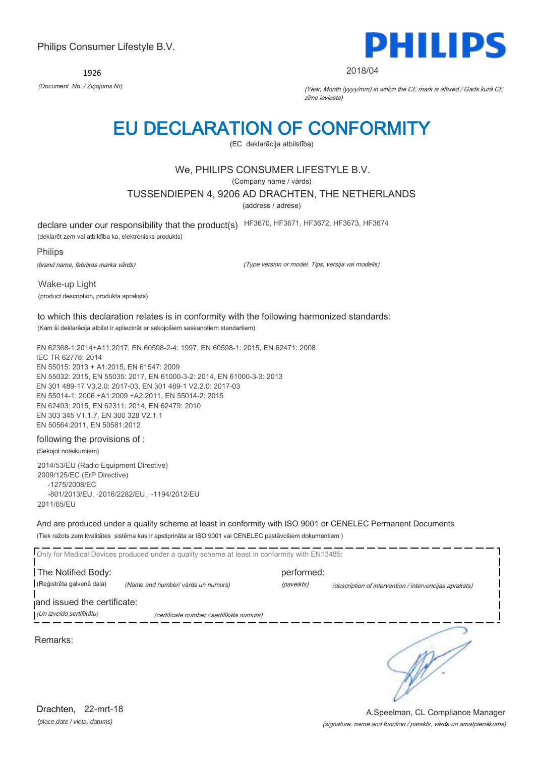1926



#### 2018/04

*(Document No. / Ziņojums Nr)* (Year, Month (yyyy/mm) in which the CE mark is affixed / Gads kurā CE zīme ieviesta)

## EU DECLARATION OF CONFORMITY

(EC deklarācija atbilstība)

## We, PHILIPS CONSUMER LIFESTYLE B.V.

(Company name / vārds)

TUSSENDIEPEN 4, 9206 AD DRACHTEN, THE NETHERLANDS

(address / adrese)

declare under our responsibility that the product(s) HF3670, HF3671, HF3672, HF3673, HF3674

(deklarēt zem vai atbildība ka, elektronisks produkts)

Philips

(brand name, fabrikas marka vārds)

(Type version or model, Tips, versija vai modelis)

Wake-up Light (product description, produkta apraksts)

#### to which this declaration relates is in conformity with the following harmonized standards: (Kam ši deklarācija atbilst ir apliecināt ar sekojošiem saskaņotiem standartiem)

EN 62368-1:2014+A11:2017, EN 60598-2-4: 1997, EN 60598-1: 2015, EN 62471: 2008 IEC TR 62778: 2014 EN 55015: 2013 + A1:2015, EN 61547: 2009 EN 55032: 2015, EN 55035: 2017, EN 61000-3-2: 2014, EN 61000-3-3: 2013 EN 301 489-17 V3.2.0: 2017-03, EN 301 489-1 V2.2.0: 2017-03 EN 55014-1: 2006 +A1:2009 +A2:2011, EN 55014-2: 2015 EN 62493: 2015, EN 62311: 2014, EN 62479: 2010 EN 303 345 V1.1.7, EN 300 328 V2.1.1 EN 50564:2011, EN 50581:2012

#### following the provisions of :

(Sekojot noteikumiem)

2014/53/EU (Radio Equipment Directive) 2009/125/EC (ErP Directive) -1275/2008/EC -801/2013/EU, -2016/2282/EU, -1194/2012/EU 2011/65/EU

And are produced under a quality scheme at least in conformity with ISO 9001 or CENELEC Permanent Documents (Tiek ražots zem kvalitātes sistēma kas ir apstiprināta ar ISO 9001 vai CENELEC pastāvošiem dokumentiem )

|                             | Only for Medical Devices produced under a quality scheme at least in conformity with EN13485: |            |                                                        |
|-----------------------------|-----------------------------------------------------------------------------------------------|------------|--------------------------------------------------------|
| The Notified Body:          |                                                                                               | performed: |                                                        |
| (Reģistrēta galvenā daļa)   | (Name and number/ vārds un numurs)                                                            | (paveikts) | (description of intervention / intervencijas apraksts) |
| and issued the certificate: |                                                                                               |            |                                                        |
| (Un izveido sertifikātu)    | (certificate number / sertifikāta numurs)                                                     |            |                                                        |
| Remarks:                    |                                                                                               |            |                                                        |

*(place,date / vieta, datums)* Drachten, 22-mrt-18

#### (signature, name and function / parskts, vārds un amatpienākums) A.Speelman, CL Compliance Manager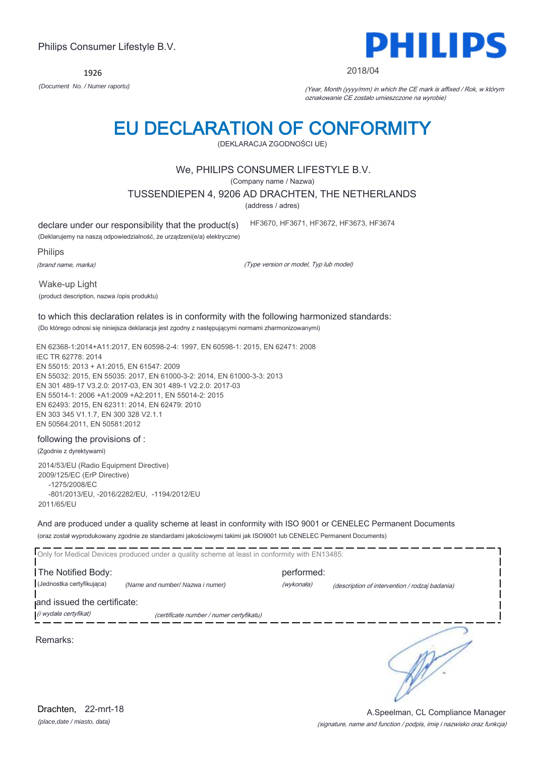1926



#### 2018/04

*(Document No. / Numer raportu)* (Year, Month (yyyy/mm) in which the CE mark is affixed / Rok, w którym oznakowanie CE zostało umieszczone na wyrobie)

# EU DECLARATION OF CONFORMITY

(DEKLARACJA ZGODNOŚCI UE)

### We, PHILIPS CONSUMER LIFESTYLE B.V.

(Company name / Nazwa)

TUSSENDIEPEN 4, 9206 AD DRACHTEN, THE NETHERLANDS

(address / adres)

declare under our responsibility that the product(s)

(Deklarujemy na naszą odpowiedzialność, że urządzeni(e/a) elektryczne)

Philips

(brand name, marka)

(Type version or model, Typ lub model)

HF3670, HF3671, HF3672, HF3673, HF3674

Wake-up Light (product description, nazwa /opis produktu)

## to which this declaration relates is in conformity with the following harmonized standards:

(Do którego odnosi się niniejsza deklaracja jest zgodny z następującymi normami zharmonizowanymi)

EN 62368-1:2014+A11:2017, EN 60598-2-4: 1997, EN 60598-1: 2015, EN 62471: 2008 IEC TR 62778: 2014 EN 55015: 2013 + A1:2015, EN 61547: 2009 EN 55032: 2015, EN 55035: 2017, EN 61000-3-2: 2014, EN 61000-3-3: 2013 EN 301 489-17 V3.2.0: 2017-03, EN 301 489-1 V2.2.0: 2017-03 EN 55014-1: 2006 +A1:2009 +A2:2011, EN 55014-2: 2015 EN 62493: 2015, EN 62311: 2014, EN 62479: 2010 EN 303 345 V1.1.7, EN 300 328 V2.1.1 EN 50564:2011, EN 50581:2012

#### following the provisions of :

(Zgodnie z dyrektywami)

2014/53/EU (Radio Equipment Directive) 2009/125/EC (ErP Directive) -1275/2008/EC -801/2013/EU, -2016/2282/EU, -1194/2012/EU 2011/65/EU

And are produced under a quality scheme at least in conformity with ISO 9001 or CENELEC Permanent Documents (oraz został wyprodukowany zgodnie ze standardami jakościowymi takimi jak ISO9001 lub CENELEC Permanent Documents)

|                             | Only for Medical Devices produced under a quality scheme at least in conformity with EN13485: |            |                                                |
|-----------------------------|-----------------------------------------------------------------------------------------------|------------|------------------------------------------------|
| The Notified Body:          |                                                                                               | performed: |                                                |
| (Jednostka certyfikująca)   | (Name and number/ Nazwa i numer)                                                              | (wykonała) | (description of intervention / rodzaj badania) |
| and issued the certificate: |                                                                                               |            |                                                |
| (i wydała certyfikat)       | (certificate number / numer certyfikatu)                                                      |            |                                                |
| Remarks:                    |                                                                                               |            |                                                |

*(place,date / miasto, data)* Drachten, 22-mrt-18

#### (signature, name and function / podpis, imię i nazwisko oraz funkcja) A.Speelman, CL Compliance Manager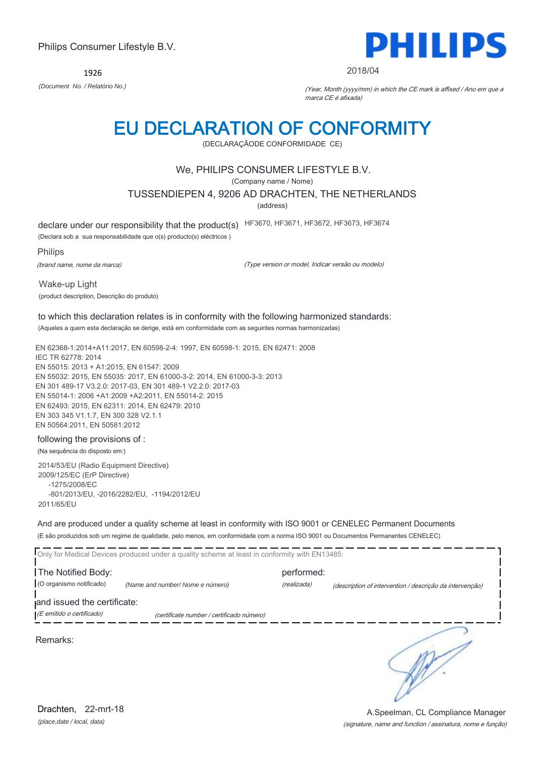1926



#### 2018/04

*(Document No. / Relatório No.)* (Year, Month (yyyy/mm) in which the CE mark is affixed / Ano em que a marca CE é afixada)

## EU DECLARATION OF CONFORMITY

(DECLARAÇÃODE CONFORMIDADE CE)

### We, PHILIPS CONSUMER LIFESTYLE B.V.

(Company name / Nome)

### TUSSENDIEPEN 4, 9206 AD DRACHTEN, THE NETHERLANDS

(address)

declare under our responsibility that the product(s) HF3670, HF3671, HF3672, HF3673, HF3674

(Declara sob a sua responsabilidade que o(s) producto(s) eléctricos )

Philips

(brand name, nome da marca)

(Type version or model, Indicar versão ou modelo)

Wake-up Light (product description, Descrição do produto)

### to which this declaration relates is in conformity with the following harmonized standards:

(Aqueles a quem esta declaração se derige, está em conformidade com as seguintes normas harmonizadas)

EN 62368-1:2014+A11:2017, EN 60598-2-4: 1997, EN 60598-1: 2015, EN 62471: 2008 IEC TR 62778: 2014 EN 55015: 2013 + A1:2015, EN 61547: 2009 EN 55032: 2015, EN 55035: 2017, EN 61000-3-2: 2014, EN 61000-3-3: 2013 EN 301 489-17 V3.2.0: 2017-03, EN 301 489-1 V2.2.0: 2017-03 EN 55014-1: 2006 +A1:2009 +A2:2011, EN 55014-2: 2015 EN 62493: 2015, EN 62311: 2014, EN 62479: 2010 EN 303 345 V1.1.7, EN 300 328 V2.1.1 EN 50564:2011, EN 50581:2012

#### following the provisions of :

(Na sequência do disposto em:)

2014/53/EU (Radio Equipment Directive) 2009/125/EC (ErP Directive) -1275/2008/EC -801/2013/EU, -2016/2282/EU, -1194/2012/EU 2011/65/EU

And are produced under a quality scheme at least in conformity with ISO 9001 or CENELEC Permanent Documents (E são produzidos sob um regime de qualidade, pelo menos, em conformidade com a norma ISO 9001 ou Documentos Permanentes CENELEC)

|                             | Only for Medical Devices produced under a quality scheme at least in conformity with EN13485: |             |                                                          |
|-----------------------------|-----------------------------------------------------------------------------------------------|-------------|----------------------------------------------------------|
| The Notified Body:          |                                                                                               | performed:  |                                                          |
| (O organismo notificado)    | (Name and number/Nome e número)                                                               | (realizada) | (description of intervention / descrição da intervenção) |
| and issued the certificate: |                                                                                               |             |                                                          |
| (E emitido o certificado)   | (certificate number / certificado número)                                                     |             |                                                          |
| Remarks:                    |                                                                                               |             |                                                          |

#### (signature, name and function / assinatura, nome e função) A.Speelman, CL Compliance Manager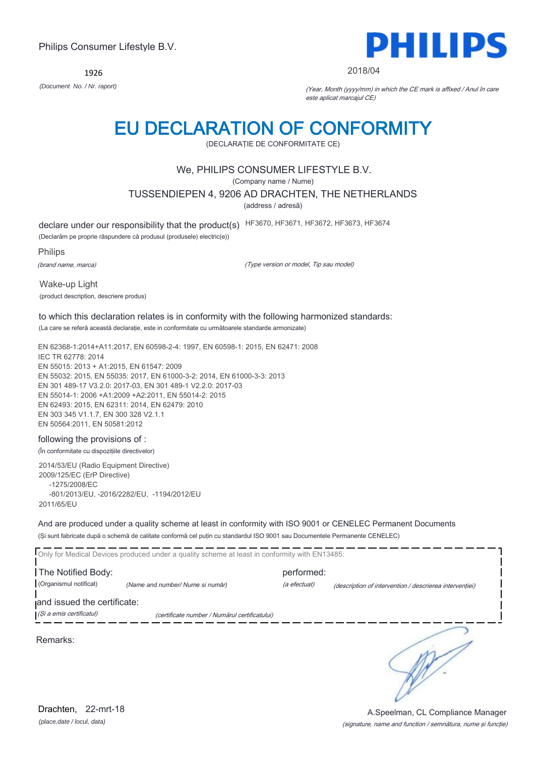1926



#### 2018/04

*(Document No. / Nr. raport)* (Year, Month (yyyy/mm) in which the CE mark is affixed / Anul în care este aplicat marcajul CE)

# EU DECLARATION OF CONFORMITY

(DECLARAŢIE DE CONFORMITATE CE)

### We, PHILIPS CONSUMER LIFESTYLE B.V.

(Company name / Nume)

TUSSENDIEPEN 4, 9206 AD DRACHTEN, THE NETHERLANDS

(address / adresă)

declare under our responsibility that the product(s) HF3670, HF3671, HF3672, HF3673, HF3674

(Declarăm pe proprie răspundere că produsul (produsele) electric(e))

Philips

(brand name, marca)

(Type version or model, Tip sau model)

Wake-up Light (product description, descriere produs)

## to which this declaration relates is in conformity with the following harmonized standards:

(La care se referă această declaraţie, este in conformitate cu următoarele standarde armonizate)

EN 62368-1:2014+A11:2017, EN 60598-2-4: 1997, EN 60598-1: 2015, EN 62471: 2008 IEC TR 62778: 2014 EN 55015: 2013 + A1:2015, EN 61547: 2009 EN 55032: 2015, EN 55035: 2017, EN 61000-3-2: 2014, EN 61000-3-3: 2013 EN 301 489-17 V3.2.0: 2017-03, EN 301 489-1 V2.2.0: 2017-03 EN 55014-1: 2006 +A1:2009 +A2:2011, EN 55014-2: 2015 EN 62493: 2015, EN 62311: 2014, EN 62479: 2010 EN 303 345 V1.1.7, EN 300 328 V2.1.1 EN 50564:2011, EN 50581:2012

#### following the provisions of :

(În conformitate cu dispoziţiile directivelor)

2014/53/EU (Radio Equipment Directive) 2009/125/EC (ErP Directive) -1275/2008/EC -801/2013/EU, -2016/2282/EU, -1194/2012/EU 2011/65/EU

And are produced under a quality scheme at least in conformity with ISO 9001 or CENELEC Permanent Documents (Şi sunt fabricate după o schemă de calitate conformă cel puţin cu standardul ISO 9001 sau Documentele Permanente CENELEC)

|                                                         | Only for Medical Devices produced under a quality scheme at least in conformity with EN13485: |                            |                                                         |
|---------------------------------------------------------|-----------------------------------------------------------------------------------------------|----------------------------|---------------------------------------------------------|
| The Notified Body:<br>(Organismul notificat)            | (Name and number/ Nume si număr)                                                              | performed:<br>(a efectuat) | (description of intervention / descrierea interventiei) |
| and issued the certificate:<br>(Și a emis certificatul) | (certificate number / Numărul certificatului)                                                 |                            |                                                         |
| Remarks:                                                |                                                                                               |                            |                                                         |

(signature, name and function / semnătura, nume şi funcţie) A.Speelman, CL Compliance Manager

*(place,date / locul, data)* Drachten, 22-mrt-18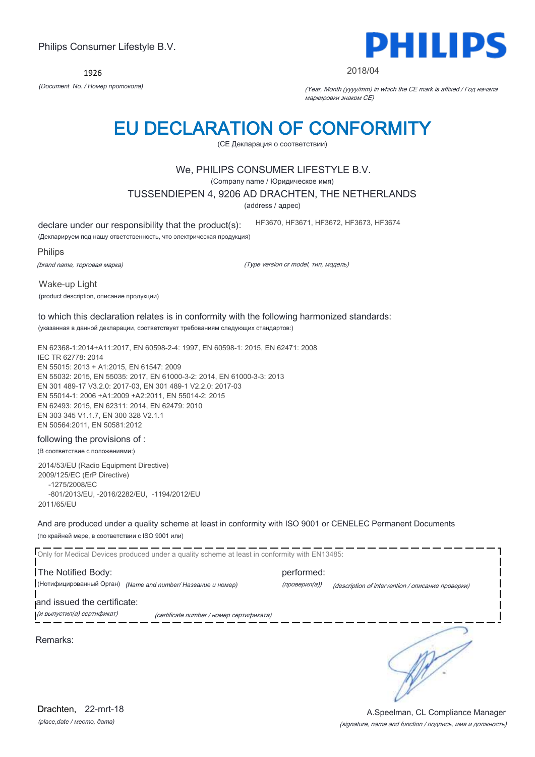1926



#### 2018/04

*(Document No. / Номер протокола)* (Year, Month (yyyy/mm) in which the CE mark is affixed / Год начала маркировки знаком CE)

## EU DECLARATION OF CONFORMITY

(CE Декларация о соответствии)

### We, PHILIPS CONSUMER LIFESTYLE B.V.

(Company name / Юридическое имя)

TUSSENDIEPEN 4, 9206 AD DRACHTEN, THE NETHERLANDS

(address / адрес)

declare under our responsibility that the product(s):

(Декларируем под нашу ответственность, что электрическая продукция)

Philips

(brand name, торговая марка)

(Type version or model, тип, модель)

HF3670, HF3671, HF3672, HF3673, HF3674

Wake-up Light

(product description, описание продукции)

### to which this declaration relates is in conformity with the following harmonized standards:

(указанная в данной декларации, соответствует требованиям следующих стандартов:)

EN 62368-1:2014+A11:2017, EN 60598-2-4: 1997, EN 60598-1: 2015, EN 62471: 2008 IEC TR 62778: 2014 EN 55015: 2013 + A1:2015, EN 61547: 2009 EN 55032: 2015, EN 55035: 2017, EN 61000-3-2: 2014, EN 61000-3-3: 2013 EN 301 489-17 V3.2.0: 2017-03, EN 301 489-1 V2.2.0: 2017-03 EN 55014-1: 2006 +A1:2009 +A2:2011, EN 55014-2: 2015 EN 62493: 2015, EN 62311: 2014, EN 62479: 2010 EN 303 345 V1.1.7, EN 300 328 V2.1.1 EN 50564:2011, EN 50581:2012

#### following the provisions of :

(В соответствие с положениями:)

2014/53/EU (Radio Equipment Directive) 2009/125/EC (ErP Directive) -1275/2008/EC -801/2013/EU, -2016/2282/EU, -1194/2012/EU 2011/65/EU

And are produced under a quality scheme at least in conformity with ISO 9001 or CENELEC Permanent Documents (по крайней мере, в соответствии с ISO 9001 или)

Only for Medical Devices produced under a quality scheme at least in conformity with EN13485: The Notified Body: example and the performed: (Нотифицированный Орган) *(Name and number/ Название и номер)* (проверил(а)) (description of intervention / описание проверки) and issued the certificate: (и выпустил(а) сертификат) (certificate number / номер сертификата) ∍ Remarks: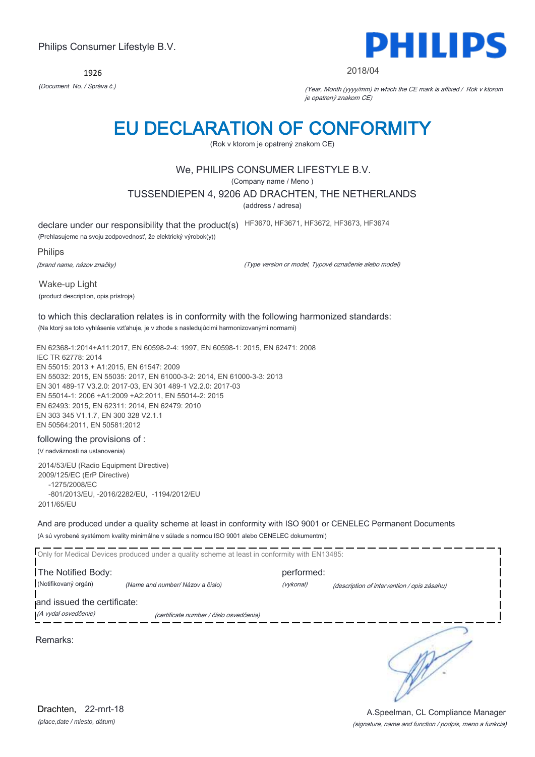1926



#### 2018/04

*(Document No. / Správa č.)* (Year, Month (yyyy/mm) in which the CE mark is affixed / Rok v ktorom je opatrený znakom CE)

## EU DECLARATION OF CONFORMITY

(Rok v ktorom je opatrený znakom CE)

## We, PHILIPS CONSUMER LIFESTYLE B.V.

(Company name / Meno )

#### TUSSENDIEPEN 4, 9206 AD DRACHTEN, THE NETHERLANDS

(address / adresa)

declare under our responsibility that the product(s) HF3670, HF3671, HF3672, HF3673, HF3674

(Prehlasujeme na svoju zodpovednosť, že elektrický výrobok(y))

Philips

(brand name, názov značky)

(Type version or model, Typové označenie alebo model)

Wake-up Light (product description, opis prístroja)

## to which this declaration relates is in conformity with the following harmonized standards:

(Na ktorý sa toto vyhlásenie vzťahuje, je v zhode s nasledujúcimi harmonizovanými normami)

EN 62368-1:2014+A11:2017, EN 60598-2-4: 1997, EN 60598-1: 2015, EN 62471: 2008 IEC TR 62778: 2014 EN 55015: 2013 + A1:2015, EN 61547: 2009 EN 55032: 2015, EN 55035: 2017, EN 61000-3-2: 2014, EN 61000-3-3: 2013 EN 301 489-17 V3.2.0: 2017-03, EN 301 489-1 V2.2.0: 2017-03 EN 55014-1: 2006 +A1:2009 +A2:2011, EN 55014-2: 2015 EN 62493: 2015, EN 62311: 2014, EN 62479: 2010 EN 303 345 V1.1.7, EN 300 328 V2.1.1 EN 50564:2011, EN 50581:2012

#### following the provisions of :

(V nadväznosti na ustanovenia)

2014/53/EU (Radio Equipment Directive) 2009/125/EC (ErP Directive) -1275/2008/EC -801/2013/EU, -2016/2282/EU, -1194/2012/EU 2011/65/EU

And are produced under a quality scheme at least in conformity with ISO 9001 or CENELEC Permanent Documents (A sú vyrobené systémom kvality minimálne v súlade s normou ISO 9001 alebo CENELEC dokumentmi)

|                             | Only for Medical Devices produced under a quality scheme at least in conformity with EN13485: |            |                                             |
|-----------------------------|-----------------------------------------------------------------------------------------------|------------|---------------------------------------------|
| The Notified Body:          |                                                                                               | performed: |                                             |
| (Notifikovaný orgán)        | (Name and number/ Názov a číslo)                                                              | (vykonal)  | (description of intervention / opis zásahu) |
| and issued the certificate: |                                                                                               |            |                                             |
| (A vydal osvedčenie)        | (certificate number / číslo osvedčenia)                                                       |            |                                             |
| Remarks:                    |                                                                                               |            |                                             |

*(place,date / miesto, dátum)* Drachten, 22-mrt-18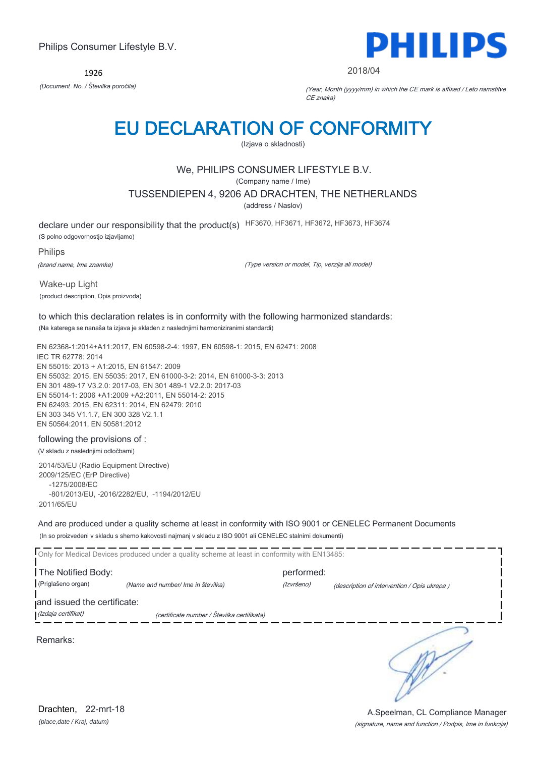1926



#### 2018/04

*(Document No. / Številka poročila)* (Year, Month (yyyy/mm) in which the CE mark is affixed / Leto namstitve CE znaka)

## EU DECLARATION OF CONFORMITY

(Izjava o skladnosti)

## We, PHILIPS CONSUMER LIFESTYLE B.V.

(Company name / Ime)

TUSSENDIEPEN 4, 9206 AD DRACHTEN, THE NETHERLANDS

(address / Naslov)

declare under our responsibility that the product(s) HF3670, HF3671, HF3672, HF3673, HF3674

(S polno odgovornostjo izjavljamo)

Philips

(brand name, Ime znamke)

(Type version or model, Tip, verzija ali model)

Wake-up Light (product description, Opis proizvoda)

## to which this declaration relates is in conformity with the following harmonized standards:

(Na katerega se nanaša ta izjava je skladen z naslednjimi harmoniziranimi standardi)

EN 62368-1:2014+A11:2017, EN 60598-2-4: 1997, EN 60598-1: 2015, EN 62471: 2008 IEC TR 62778: 2014 EN 55015: 2013 + A1:2015, EN 61547: 2009 EN 55032: 2015, EN 55035: 2017, EN 61000-3-2: 2014, EN 61000-3-3: 2013 EN 301 489-17 V3.2.0: 2017-03, EN 301 489-1 V2.2.0: 2017-03 EN 55014-1: 2006 +A1:2009 +A2:2011, EN 55014-2: 2015 EN 62493: 2015, EN 62311: 2014, EN 62479: 2010 EN 303 345 V1.1.7, EN 300 328 V2.1.1 EN 50564:2011, EN 50581:2012

#### following the provisions of :

(V skladu z naslednjimi odločbami)

2014/53/EU (Radio Equipment Directive) 2009/125/EC (ErP Directive) -1275/2008/EC -801/2013/EU, -2016/2282/EU, -1194/2012/EU 2011/65/EU

And are produced under a quality scheme at least in conformity with ISO 9001 or CENELEC Permanent Documents (In so proizvedeni v skladu s shemo kakovosti najmanj v skladu z ISO 9001 ali CENELEC stalnimi dokumenti)

|                             | Only for Medical Devices produced under a quality scheme at least in conformity with EN13485: |            |                                             |
|-----------------------------|-----------------------------------------------------------------------------------------------|------------|---------------------------------------------|
| The Notified Body:          |                                                                                               | performed: |                                             |
| (Priglašeno organ)          | (Name and number/ Ime in številka)                                                            | (Izvršeno) | (description of intervention / Opis ukrepa) |
| and issued the certificate: |                                                                                               |            |                                             |
| (Izdaja certifikat)         | (certificate number / Številka certifikata)                                                   |            |                                             |
| Remarks:                    |                                                                                               |            |                                             |

(signature, name and function / Podpis, Ime in funkcija) A.Speelman, CL Compliance Manager

*(place,date / Kraj, datum)* Drachten, 22-mrt-18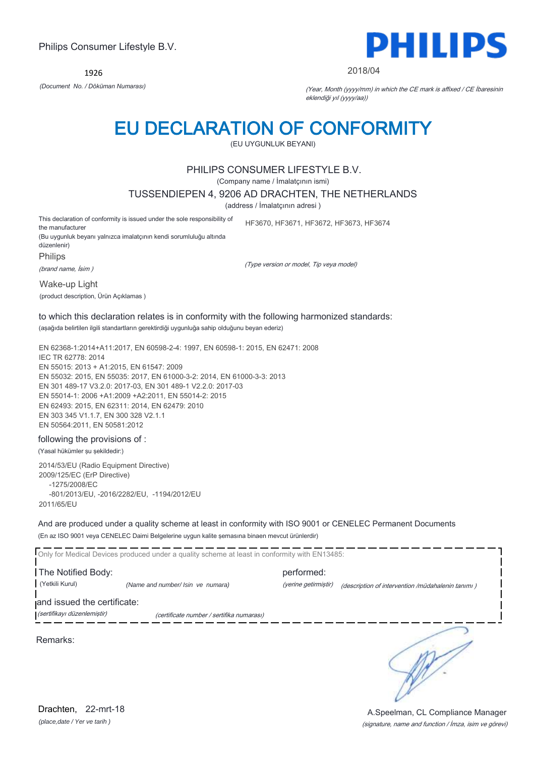1926



#### 2018/04

*(Document No. / Döküman Numarası)* (Year, Month (yyyy/mm) in which the CE mark is affixed / CE İbaresinin eklendiği yıl (yyyy/aa))

## EU DECLARATION OF CONFORMITY

(EU UYGUNLUK BEYANI)

### PHILIPS CONSUMER LIFESTYLE B.V.

(Company name / İmalatçının ismi)

TUSSENDIEPEN 4, 9206 AD DRACHTEN, THE NETHERLANDS

(address / İmalatçının adresi )

(Type version or model, Tip veya model)

This declaration of conformity is issued under the sole responsibility of the manufacturer HF3670, HF3671, HF3672, HF3673, HF3674

(Bu uygunluk beyanı yalnızca imalatçının kendi sorumluluğu altında düzenlenir) Philips

(brand name, İsim )

Wake-up Light

(product description, Ürün Açıklamas )

## to which this declaration relates is in conformity with the following harmonized standards:

(aşağıda belirtilen ilgili standartların gerektirdiği uygunluğa sahip olduğunu beyan ederiz)

EN 62368-1:2014+A11:2017, EN 60598-2-4: 1997, EN 60598-1: 2015, EN 62471: 2008 IEC TR 62778: 2014 EN 55015: 2013 + A1:2015, EN 61547: 2009 EN 55032: 2015, EN 55035: 2017, EN 61000-3-2: 2014, EN 61000-3-3: 2013 EN 301 489-17 V3.2.0: 2017-03, EN 301 489-1 V2.2.0: 2017-03 EN 55014-1: 2006 +A1:2009 +A2:2011, EN 55014-2: 2015 EN 62493: 2015, EN 62311: 2014, EN 62479: 2010 EN 303 345 V1.1.7, EN 300 328 V2.1.1 EN 50564:2011, EN 50581:2012

#### following the provisions of :

(Yasal hükümler şu şekildedir:)

2014/53/EU (Radio Equipment Directive) 2009/125/EC (ErP Directive) -1275/2008/EC -801/2013/EU, -2016/2282/EU, -1194/2012/EU 2011/65/EU

And are produced under a quality scheme at least in conformity with ISO 9001 or CENELEC Permanent Documents (En az ISO 9001 veya CENELEC Daimi Belgelerine uygun kalite şemasına binaen mevcut ürünlerdir)

Only for Medical Devices produced under a quality scheme at least in conformity with EN13485: The Notified Body: performed: (Yetkili Kurul) *(Name and number/ Isin ve numara)* (yerine getirmiştir) (description of intervention /müdahalenin tanımı ) and issued the certificate: (sertifikayı düzenlemiştir) (certificate number / sertifika numarası) ∋

Remarks:

*(place,date / Yer ve tarih )* Drachten, 22-mrt-18

(signature, name and function / İmza, isim ve görevi) A.Speelman, CL Compliance Manager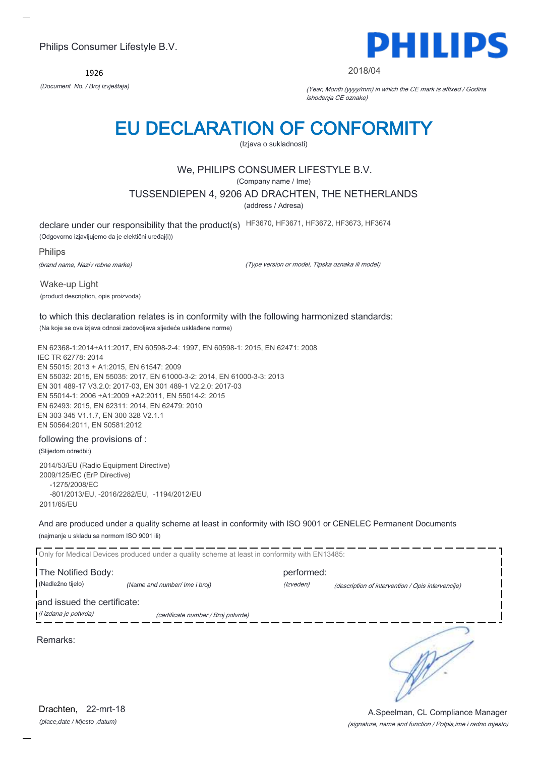1926



#### 2018/04

*(Document No. / Broj izvještaja)* (Year, Month (yyyy/mm) in which the CE mark is affixed / Godina ishođenja CE oznake)

## EU DECLARATION OF CONFORMITY

(Izjava o sukladnosti)

## We, PHILIPS CONSUMER LIFESTYLE B.V.

(Company name / Ime)

TUSSENDIEPEN 4, 9206 AD DRACHTEN, THE NETHERLANDS

(address / Adresa)

declare under our responsibility that the product(s) HF3670, HF3671, HF3672, HF3673, HF3674

(Odgovorno izjavljujemo da je elektični uređaj(i))

Philips

(brand name, Naziv robne marke)

(Type version or model, Tipska oznaka ili model)

Wake-up Light (product description, opis proizvoda)

#### to which this declaration relates is in conformity with the following harmonized standards: (Na koje se ova izjava odnosi zadovoljava sljedeće usklađene norme)

EN 62368-1:2014+A11:2017, EN 60598-2-4: 1997, EN 60598-1: 2015, EN 62471: 2008 IEC TR 62778: 2014 EN 55015: 2013 + A1:2015, EN 61547: 2009 EN 55032: 2015, EN 55035: 2017, EN 61000-3-2: 2014, EN 61000-3-3: 2013 EN 301 489-17 V3.2.0: 2017-03, EN 301 489-1 V2.2.0: 2017-03 EN 55014-1: 2006 +A1:2009 +A2:2011, EN 55014-2: 2015 EN 62493: 2015, EN 62311: 2014, EN 62479: 2010 EN 303 345 V1.1.7, EN 300 328 V2.1.1 EN 50564:2011, EN 50581:2012

#### following the provisions of :

(Slijedom odredbi:)

2014/53/EU (Radio Equipment Directive) 2009/125/EC (ErP Directive) -1275/2008/EC -801/2013/EU, -2016/2282/EU, -1194/2012/EU 2011/65/EU

And are produced under a quality scheme at least in conformity with ISO 9001 or CENELEC Permanent Documents (najmanje u skladu sa normom ISO 9001 ili)

|                             | Only for Medical Devices produced under a quality scheme at least in conformity with EN13485: |            |                                                   |  |
|-----------------------------|-----------------------------------------------------------------------------------------------|------------|---------------------------------------------------|--|
| The Notified Body:          |                                                                                               | performed: |                                                   |  |
| (Nadležno tijelo)           | (Name and number/ Ime i broj)                                                                 | (Izveden)  | (description of intervention / Opis intervencije) |  |
| and issued the certificate: |                                                                                               |            |                                                   |  |
| (l izdana je potvrda)       | (certificate number / Broj potvrde)                                                           |            |                                                   |  |
| Remarks:                    |                                                                                               |            |                                                   |  |

*(place,date / Mjesto ,datum)* Drachten, 22-mrt-18

#### (signature, name and function / Potpis,ime i radno mjesto) A.Speelman, CL Compliance Manager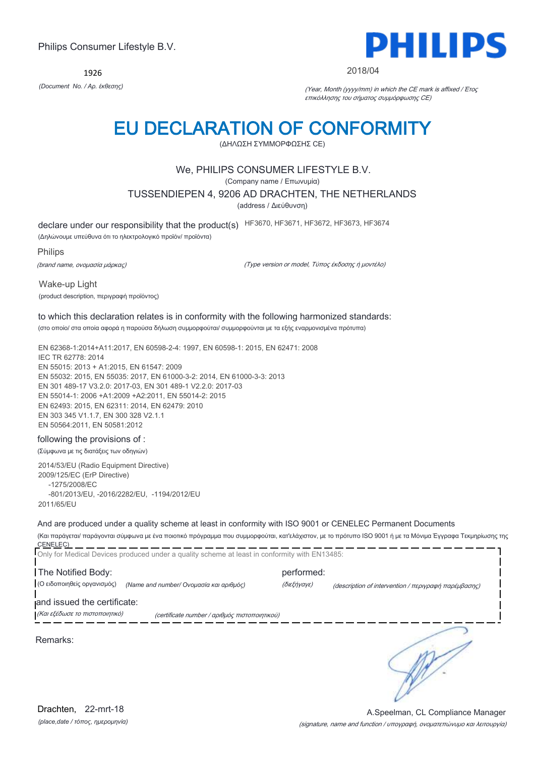1926



#### 2018/04

*(Document No. / Αρ. έκθεσης)* (Year, Month (yyyy/mm) in which the CE mark is affixed / Έτος επικόλλησης του σήματος συμμόρφωσης CE)

# EU DECLARATION OF CONFORMITY

(ΔΗΛΩΣΗ ΣΥΜΜΟΡΦΩΣΗΣ CE)

### We, PHILIPS CONSUMER LIFESTYLE B.V.

(Company name / Επωνυμία)

#### TUSSENDIEPEN 4, 9206 AD DRACHTEN, THE NETHERLANDS

(address / Διεύθυνση)

declare under our responsibility that the product(s) HF3670, HF3671, HF3672, HF3673, HF3674

(Δηλώνουμε υπεύθυνα ότι το ηλεκτρολογικό προϊόν/ προϊόντα)

Philips

(brand name, ονομασία μάρκας)

(Type version or model, Τύπος έκδοσης ή μοντέλο)

Wake-up Light

(product description, περιγραφή προϊόντος)

#### to which this declaration relates is in conformity with the following harmonized standards:

(στο οποίο/ στα οποία αφορά η παρούσα δήλωση συμμορφούται/ συμμορφούνται με τα εξής εναρμονισμένα πρότυπα)

EN 62368-1:2014+A11:2017, EN 60598-2-4: 1997, EN 60598-1: 2015, EN 62471: 2008 IEC TR 62778: 2014 EN 55015: 2013 + A1:2015, EN 61547: 2009 EN 55032: 2015, EN 55035: 2017, EN 61000-3-2: 2014, EN 61000-3-3: 2013 EN 301 489-17 V3.2.0: 2017-03, EN 301 489-1 V2.2.0: 2017-03 EN 55014-1: 2006 +A1:2009 +A2:2011, EN 55014-2: 2015 EN 62493: 2015, EN 62311: 2014, EN 62479: 2010 EN 303 345 V1.1.7, EN 300 328 V2.1.1 EN 50564:2011, EN 50581:2012

#### following the provisions of :

(Σύμφωνα με τις διατάξεις των οδηγιών)

2014/53/EU (Radio Equipment Directive) 2009/125/EC (ErP Directive) -1275/2008/EC -801/2013/EU, -2016/2282/EU, -1194/2012/EU 2011/65/EU

And are produced under a quality scheme at least in conformity with ISO 9001 or CENELEC Permanent Documents

(Και παράγεται/ παράγονται σύμφωνα με ένα ποιοτικό πρόγραμμα που συμμορφούται, κατ'ελάχιστον, με το πρότυπο ISO 9001 ή με τα Μόνιμα Έγγραφα Τεκμηρίωσης της CENELEC)

| Only for Medical Devices produced under a quality scheme at least in conformity with EN13485: |                                               |                                                                                                                                                    |
|-----------------------------------------------------------------------------------------------|-----------------------------------------------|----------------------------------------------------------------------------------------------------------------------------------------------------|
| The Notified Body:                                                                            | performed:                                    |                                                                                                                                                    |
| (Ο ειδοποιηθείς οργανισμός)<br>(Name and number/ Ονομασία και αριθμός)                        | (διεξήγαγε)                                   | (description of intervention / $\pi \epsilon \rho \gamma \rho \alpha \varphi \eta$ $\pi \alpha \rho \epsilon \mu \beta \alpha \sigma \eta \zeta$ ) |
| and issued the certificate:                                                                   |                                               |                                                                                                                                                    |
| (Και εξέδωσε το πιστοποιητικό)                                                                | (certificate number / αριθμός πιστοποιητικού) |                                                                                                                                                    |
| Remarks:                                                                                      |                                               |                                                                                                                                                    |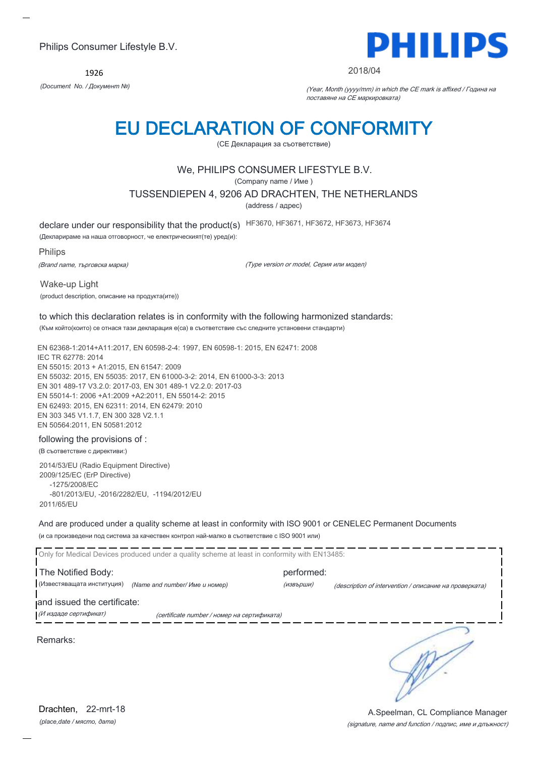1926



#### 2018/04

*(Document No. / Документ №)* (Year, Month (yyyy/mm) in which the CE mark is affixed / Година на поставяне на CE маркировката)

## EU DECLARATION OF CONFORMITY

(CE Декларация за съответствие)

### We, PHILIPS CONSUMER LIFESTYLE B.V.

(Company name / Име )

TUSSENDIEPEN 4, 9206 AD DRACHTEN, THE NETHERLANDS

(address / адрес)

declare under our responsibility that the product(s) HF3670, HF3671, HF3672, HF3673, HF3674

(Декларираме на наша отговорност, че електрическият(те) уред(и):

Philips

(Brand name, търговска марка)

(Type version or model, Серия или модел)

Wake-up Light

(product description, описание на продукта(ите))

#### to which this declaration relates is in conformity with the following harmonized standards:

(Към който(които) се отнася тази декларация е(са) в съответствие със следните установени стандарти)

EN 62368-1:2014+A11:2017, EN 60598-2-4: 1997, EN 60598-1: 2015, EN 62471: 2008 IEC TR 62778: 2014 EN 55015: 2013 + A1:2015, EN 61547: 2009 EN 55032: 2015, EN 55035: 2017, EN 61000-3-2: 2014, EN 61000-3-3: 2013 EN 301 489-17 V3.2.0: 2017-03, EN 301 489-1 V2.2.0: 2017-03 EN 55014-1: 2006 +A1:2009 +A2:2011, EN 55014-2: 2015 EN 62493: 2015, EN 62311: 2014, EN 62479: 2010 EN 303 345 V1.1.7, EN 300 328 V2.1.1 EN 50564:2011, EN 50581:2012

#### following the provisions of :

#### (В съответствие с директиви:)

2014/53/EU (Radio Equipment Directive) 2009/125/EC (ErP Directive) -1275/2008/EC -801/2013/EU, -2016/2282/EU, -1194/2012/EU 2011/65/EU

And are produced under a quality scheme at least in conformity with ISO 9001 or CENELEC Permanent Documents (и са произведени под система за качествен контрол най-малко в съответствие с ISO 9001 или)

| Only for Medical Devices produced under a quality scheme at least in conformity with EN13485: |                                             |                         |                                                        |
|-----------------------------------------------------------------------------------------------|---------------------------------------------|-------------------------|--------------------------------------------------------|
| The Notified Body:<br>(Известяващата институция)                                              | (Name and number/ Име и номер)              | performed:<br>(извърши) | (description of intervention / описание на проверката) |
| and issued the certificate:<br>(И издаде сертификат)                                          | (certificate number / номер на сертификата) |                         |                                                        |
| Remarks:                                                                                      |                                             |                         |                                                        |
|                                                                                               |                                             |                         |                                                        |

*(place,date / място, дата)* Drachten, 22-mrt-18